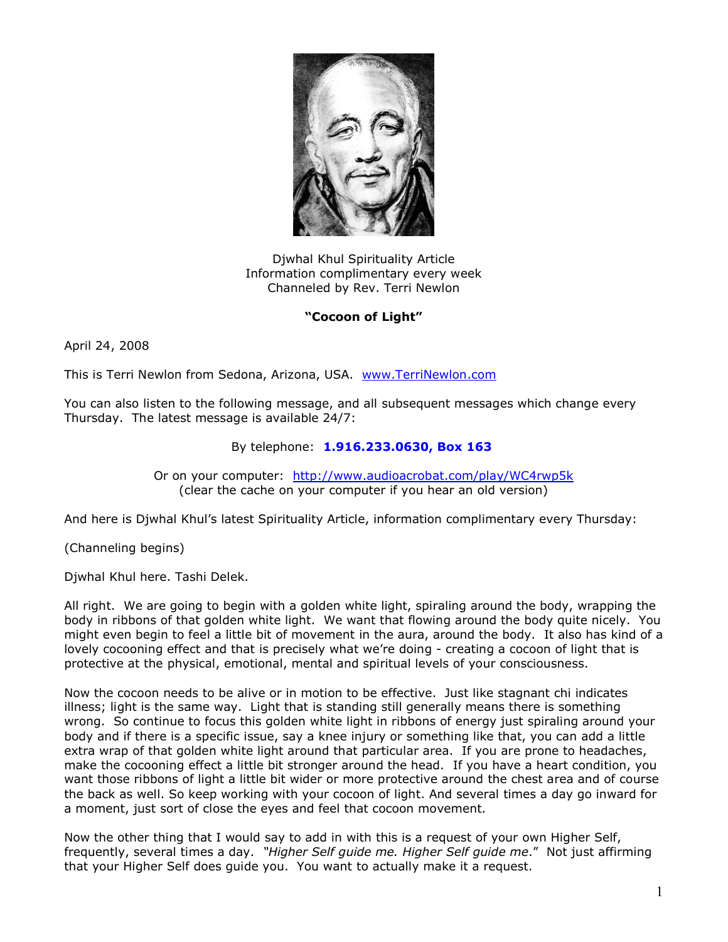

Djwhal Khul Spirituality Article Information complimentary every week Channeled by Rev. Terri Newlon

## **"Cocoon of Light"**

April 24, 2008

This is Terri Newlon from Sedona, Arizona, USA. [www.TerriNewlon.com](http://www.terrinewlon.com/)

You can also listen to the following message, and all subsequent messages which change every Thursday. The latest message is available 24/7:

## By telephone: **1.916.233.0630, Box 163**

Or on your computer: <http://www.audioacrobat.com/play/WC4rwp5k> (clear the cache on your computer if you hear an old version)

And here is Djwhal Khul's latest Spirituality Article, information complimentary every Thursday:

(Channeling begins)

Djwhal Khul here. Tashi Delek.

All right. We are going to begin with a golden white light, spiraling around the body, wrapping the body in ribbons of that golden white light. We want that flowing around the body quite nicely. You might even begin to feel a little bit of movement in the aura, around the body. It also has kind of a lovely cocooning effect and that is precisely what we're doing - creating a cocoon of light that is protective at the physical, emotional, mental and spiritual levels of your consciousness.

Now the cocoon needs to be alive or in motion to be effective. Just like stagnant chi indicates illness; light is the same way. Light that is standing still generally means there is something wrong. So continue to focus this golden white light in ribbons of energy just spiraling around your body and if there is a specific issue, say a knee injury or something like that, you can add a little extra wrap of that golden white light around that particular area. If you are prone to headaches, make the cocooning effect a little bit stronger around the head. If you have a heart condition, you want those ribbons of light a little bit wider or more protective around the chest area and of course the back as well. So keep working with your cocoon of light. And several times a day go inward for a moment, just sort of close the eyes and feel that cocoon movement.

Now the other thing that I would say to add in with this is a request of your own Higher Self, frequently, several times a day. *"Higher Self guide me. Higher Self guide me*." Not just affirming that your Higher Self does guide you. You want to actually make it a request.